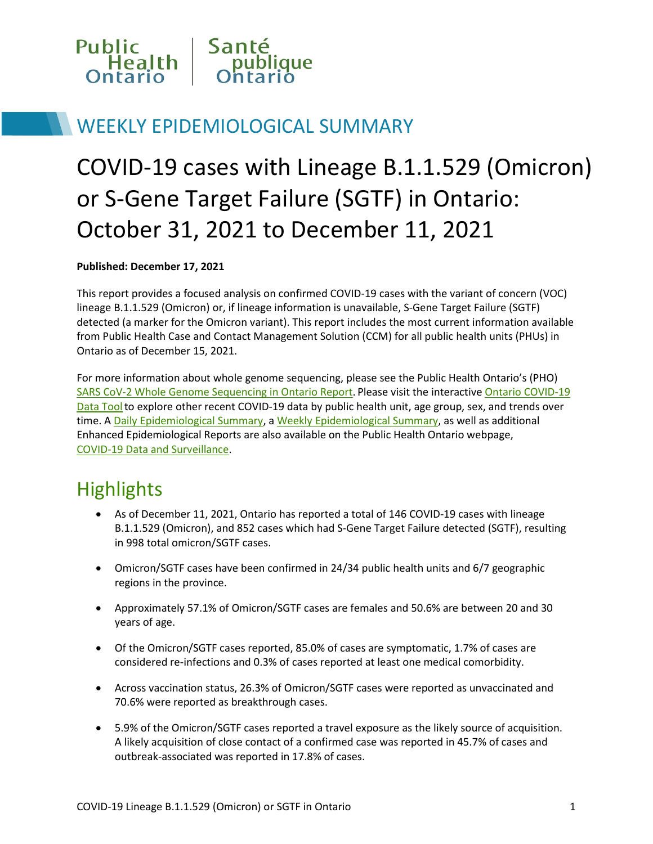

### WEEKLY EPIDEMIOLOGICAL SUMMARY

# COVID-19 cases with Lineage B.1.1.529 (Omicron) or S-Gene Target Failure (SGTF) in Ontario: October 31, 2021 to December 11, 2021

#### **Published: December 17, 2021**

This report provides a focused analysis on confirmed COVID-19 cases with the variant of concern (VOC) lineage B.1.1.529 (Omicron) or, if lineage information is unavailable, S-Gene Target Failure (SGTF) detected (a marker for the Omicron variant). This report includes the most current information available from Public Health Case and Contact Management Solution (CCM) for all public health units (PHUs) in Ontario as of December 15, 2021.

For more information about whole genome sequencing, please see the Public Health Ontario's (PHO) [SARS CoV-2 Whole Genome Sequencing in Ontario Report.](https://www.publichealthontario.ca/-/media/documents/ncov/epi/covid-19-sars-cov2-whole-genome-sequencing-epi-summary.pdf?sc_lang=en) Please visit the interactiv[e Ontario COVID-19](https://www.publichealthontario.ca/en/data-and-analysis/infectious-disease/covid-19-data-surveillance/covid-19-data-tool?tab=summary)  Data Tool to explore other recent COVID-19 data by public health unit, age group, sex, and trends over time. [A Daily Epidemiological Summary,](https://www.publichealthontario.ca/-/media/documents/ncov/epi/covid-19-daily-epi-summary-report.pdf?la=en) [a Weekly Epidemiological Summary,](https://www.publichealthontario.ca/-/media/documents/ncov/epi/covid-19-weekly-epi-summary-report.pdf?la=en) as well as additional Enhanced Epidemiological Reports are also available on the Public Health Ontario webpage, [COVID-19 Data and Surveillance.](https://www.publichealthontario.ca/en/data-and-analysis/infectious-disease/covid-19-data-surveillance)

### **Highlights**

- As of December 11, 2021, Ontario has reported a total of 146 COVID-19 cases with lineage B.1.1.529 (Omicron), and 852 cases which had S-Gene Target Failure detected (SGTF), resulting in 998 total omicron/SGTF cases.
- Omicron/SGTF cases have been confirmed in 24/34 public health units and 6/7 geographic regions in the province.
- Approximately 57.1% of Omicron/SGTF cases are females and 50.6% are between 20 and 30 years of age.
- Of the Omicron/SGTF cases reported, 85.0% of cases are symptomatic, 1.7% of cases are considered re-infections and 0.3% of cases reported at least one medical comorbidity.
- Across vaccination status, 26.3% of Omicron/SGTF cases were reported as unvaccinated and 70.6% were reported as breakthrough cases.
- 5.9% of the Omicron/SGTF cases reported a travel exposure as the likely source of acquisition. A likely acquisition of close contact of a confirmed case was reported in 45.7% of cases and outbreak-associated was reported in 17.8% of cases.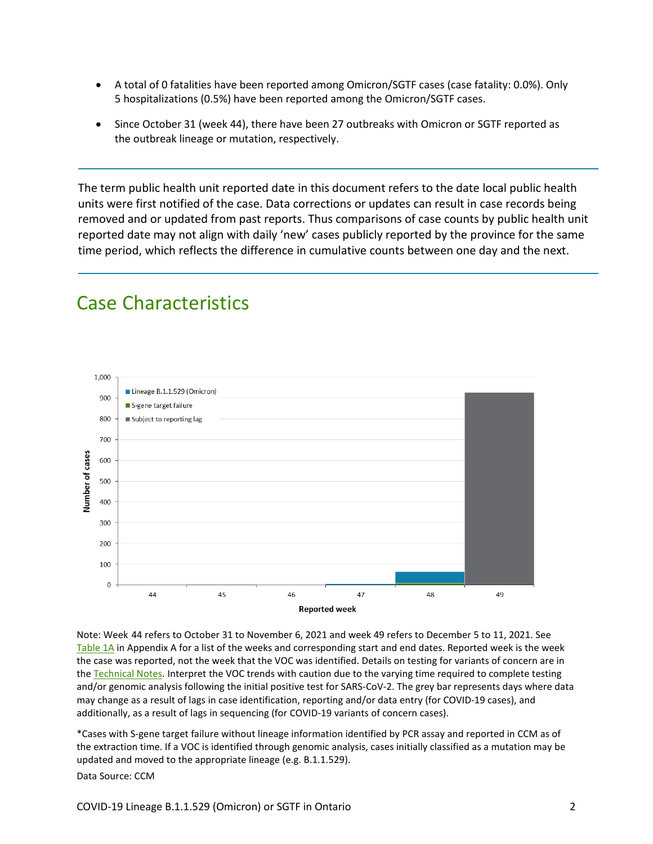- A total of 0 fatalities have been reported among Omicron/SGTF cases (case fatality: 0.0%). Only 5 hospitalizations (0.5%) have been reported among the Omicron/SGTF cases.
- Since October 31 (week 44), there have been 27 outbreaks with Omicron or SGTF reported as the outbreak lineage or mutation, respectively.

The term public health unit reported date in this document refers to the date local public health units were first notified of the case. Data corrections or updates can result in case records being removed and or updated from past reports. Thus comparisons of case counts by public health unit reported date may not align with daily 'new' cases publicly reported by the province for the same time period, which reflects the difference in cumulative counts between one day and the next.

#### 1,000 Lineage B.1.1.529 (Omicron) 900 S-gene target failure 800 Subject to reporting lag 700 Number of cases 600 500  $400$ 300 200 100  $\mathsf{O}\xspace$ 46 47 48 49 44 45 **Reported week**

Note: Week-44 refers to October 31 to November 6, 2021 and week 49 refers to December 5 to 11, 2021. See [Table 1A](#page-17-0) in Appendix A for a list of the weeks and corresponding start and end dates. Reported week is the week the case was reported, not the week that the VOC was identified. Details on testing for variants of concern are in the [Technical Notes.](#page-13-0) Interpret the VOC trends with caution due to the varying time required to complete testing and/or genomic analysis following the initial positive test for SARS-CoV-2. The grey bar represents days where data may change as a result of lags in case identification, reporting and/or data entry (for COVID-19 cases), and additionally, as a result of lags in sequencing (for COVID-19 variants of concern cases).

\*Cases with S-gene target failure without lineage information identified by PCR assay and reported in CCM as of the extraction time. If a VOC is identified through genomic analysis, cases initially classified as a mutation may be updated and moved to the appropriate lineage (e.g. B.1.1.529). Data Source: CCM

COVID-19 Lineage B.1.1.529 (Omicron) or SGTF in Ontario 2

### Case Characteristics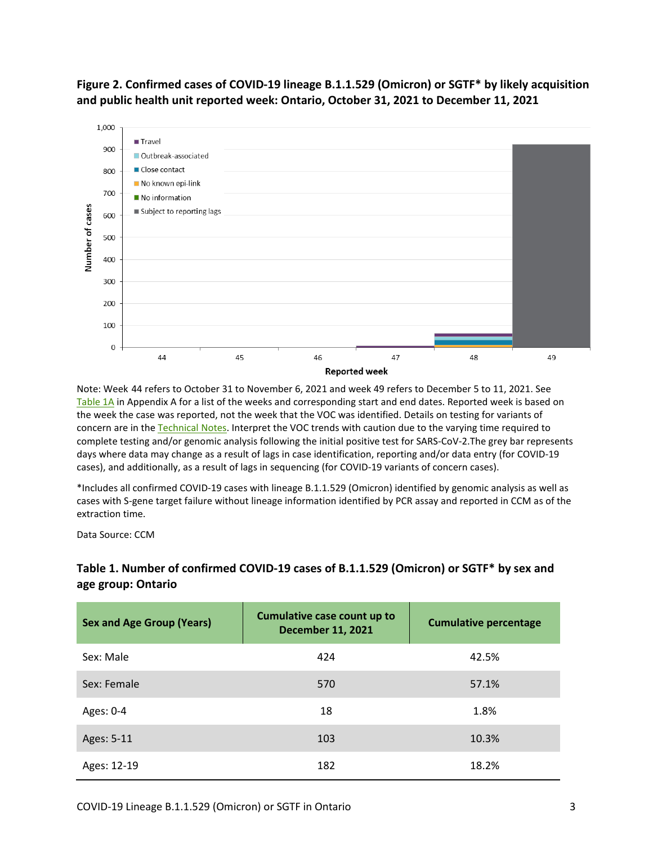**Figure 2. Confirmed cases of COVID-19 lineage B.1.1.529 (Omicron) or SGTF\* by likely acquisition and public health unit reported week: Ontario, October 31, 2021 to December 11, 2021**



Note: Week-44 refers to October 31 to November 6, 2021 and week 49 refers to December 5 to 11, 2021. See [Table 1A](#page-17-0) in Appendix A for a list of the weeks and corresponding start and end dates. Reported week is based on the week the case was reported, not the week that the VOC was identified. Details on testing for variants of concern are in the [Technical Notes.](#page-13-0) Interpret the VOC trends with caution due to the varying time required to complete testing and/or genomic analysis following the initial positive test for SARS-CoV-2.The grey bar represents days where data may change as a result of lags in case identification, reporting and/or data entry (for COVID-19 cases), and additionally, as a result of lags in sequencing (for COVID-19 variants of concern cases).

\*Includes all confirmed COVID-19 cases with lineage B.1.1.529 (Omicron) identified by genomic analysis as well as cases with S-gene target failure without lineage information identified by PCR assay and reported in CCM as of the extraction time.

Data Source: CCM

### **Table 1. Number of confirmed COVID-19 cases of B.1.1.529 (Omicron) or SGTF\* by sex and age group: Ontario**

| <b>Sex and Age Group (Years)</b> | Cumulative case count up to<br><b>December 11, 2021</b> | <b>Cumulative percentage</b> |
|----------------------------------|---------------------------------------------------------|------------------------------|
| Sex: Male                        | 424                                                     | 42.5%                        |
| Sex: Female                      | 570                                                     | 57.1%                        |
| Ages: 0-4                        | 18                                                      | 1.8%                         |
| Ages: 5-11                       | 103                                                     | 10.3%                        |
| Ages: 12-19                      | 182                                                     | 18.2%                        |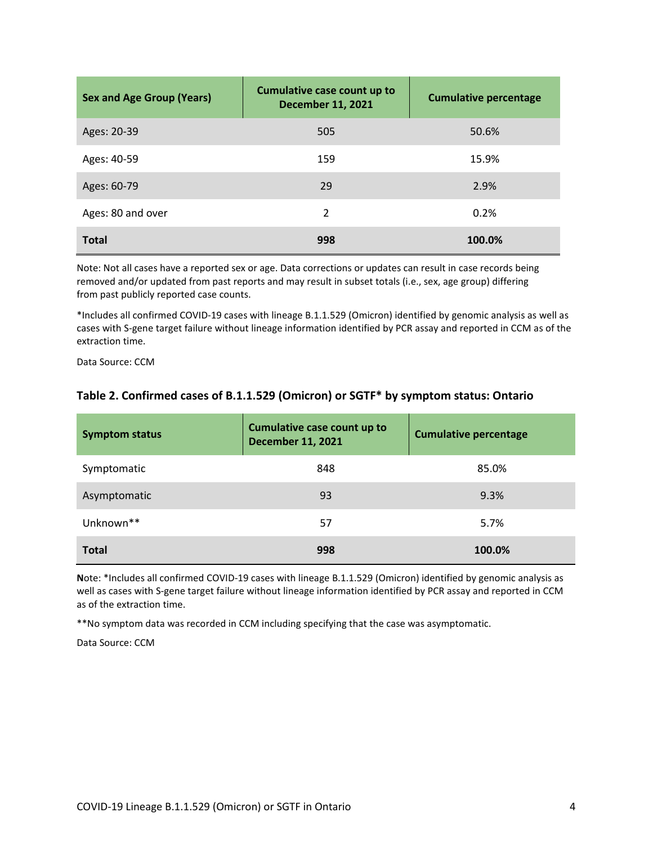| <b>Sex and Age Group (Years)</b> | Cumulative case count up to<br><b>December 11, 2021</b> | <b>Cumulative percentage</b> |
|----------------------------------|---------------------------------------------------------|------------------------------|
| Ages: 20-39                      | 505                                                     | 50.6%                        |
| Ages: 40-59                      | 159                                                     | 15.9%                        |
| Ages: 60-79                      | 29                                                      | 2.9%                         |
| Ages: 80 and over                | $\mathcal{P}$                                           | 0.2%                         |
| <b>Total</b>                     | 998                                                     | 100.0%                       |

Note: Not all cases have a reported sex or age. Data corrections or updates can result in case records being removed and/or updated from past reports and may result in subset totals (i.e., sex, age group) differing from past publicly reported case counts.

\*Includes all confirmed COVID-19 cases with lineage B.1.1.529 (Omicron) identified by genomic analysis as well as cases with S-gene target failure without lineage information identified by PCR assay and reported in CCM as of the extraction time.

Data Source: CCM

| <b>Symptom status</b> | Cumulative case count up to<br><b>December 11, 2021</b> | <b>Cumulative percentage</b> |
|-----------------------|---------------------------------------------------------|------------------------------|
| Symptomatic           | 848                                                     | 85.0%                        |
| Asymptomatic          | 93                                                      | 9.3%                         |
| Unknown**             | 57                                                      | 5.7%                         |
| <b>Total</b>          | 998                                                     | 100.0%                       |

#### **Table 2. Confirmed cases of B.1.1.529 (Omicron) or SGTF\* by symptom status: Ontario**

**N**ote: \*Includes all confirmed COVID-19 cases with lineage B.1.1.529 (Omicron) identified by genomic analysis as well as cases with S-gene target failure without lineage information identified by PCR assay and reported in CCM as of the extraction time.

\*\*No symptom data was recorded in CCM including specifying that the case was asymptomatic.

Data Source: CCM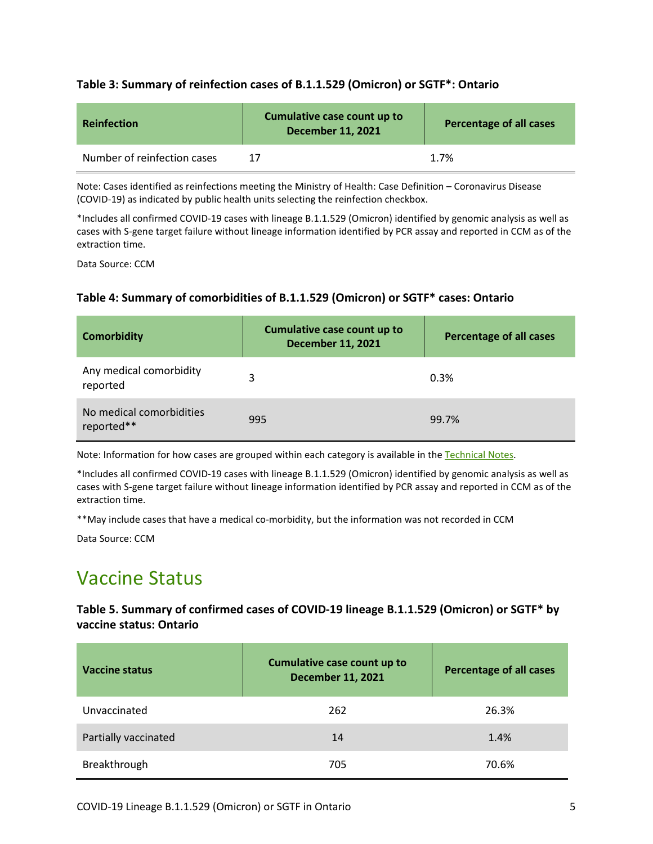#### **Table 3: Summary of reinfection cases of B.1.1.529 (Omicron) or SGTF\*: Ontario**

| <b>Reinfection</b>          | Cumulative case count up to<br><b>December 11, 2021</b> | <b>Percentage of all cases</b> |
|-----------------------------|---------------------------------------------------------|--------------------------------|
| Number of reinfection cases |                                                         | 1.7%                           |

Note: Cases identified as reinfections meeting the [Ministry of Health: Case Definition – Coronavirus Disease](http://www.health.gov.on.ca/en/pro/programs/publichealth/coronavirus/docs/2019_case_definition.pdf)  [\(COVID-19\) a](http://www.health.gov.on.ca/en/pro/programs/publichealth/coronavirus/docs/2019_case_definition.pdf)s indicated by public health units selecting the reinfection checkbox.

\*Includes all confirmed COVID-19 cases with lineage B.1.1.529 (Omicron) identified by genomic analysis as well as cases with S-gene target failure without lineage information identified by PCR assay and reported in CCM as of the extraction time.

Data Source: CCM

#### **Table 4: Summary of comorbidities of B.1.1.529 (Omicron) or SGTF\* cases: Ontario**

| <b>Comorbidity</b>                     | Cumulative case count up to<br><b>December 11, 2021</b> | <b>Percentage of all cases</b> |
|----------------------------------------|---------------------------------------------------------|--------------------------------|
| Any medical comorbidity<br>reported    | 3                                                       | 0.3%                           |
| No medical comorbidities<br>reported** | 995                                                     | 99.7%                          |

Note: Information for how cases are grouped within each category is available in the [Technical Notes.](#page-13-0)

\*Includes all confirmed COVID-19 cases with lineage B.1.1.529 (Omicron) identified by genomic analysis as well as cases with S-gene target failure without lineage information identified by PCR assay and reported in CCM as of the extraction time.

\*\*May include cases that have a medical co-morbidity, but the information was not recorded in CCM

Data Source: CCM

### Vaccine Status

**Table 5. Summary of confirmed cases of COVID-19 lineage B.1.1.529 (Omicron) or SGTF\* by vaccine status: Ontario**

| <b>Vaccine status</b> | Cumulative case count up to<br><b>December 11, 2021</b> | <b>Percentage of all cases</b> |
|-----------------------|---------------------------------------------------------|--------------------------------|
| Unvaccinated          | 262                                                     | 26.3%                          |
| Partially vaccinated  | 14                                                      | 1.4%                           |
| Breakthrough          | 705                                                     | 70.6%                          |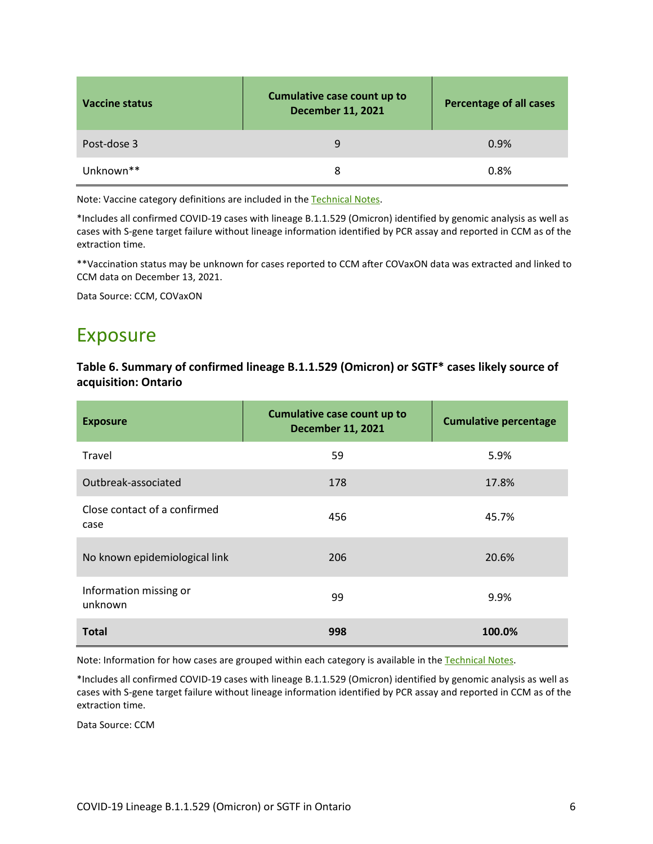| Vaccine status        | <b>Cumulative case count up to</b><br><b>December 11, 2021</b> | <b>Percentage of all cases</b> |
|-----------------------|----------------------------------------------------------------|--------------------------------|
| Post-dose 3           | q                                                              | 0.9%                           |
| Unknown <sup>**</sup> | 8                                                              | 0.8%                           |

Note: Vaccine category definitions are included in the [Technical Notes.](#page-13-0) 

\*Includes all confirmed COVID-19 cases with lineage B.1.1.529 (Omicron) identified by genomic analysis as well as cases with S-gene target failure without lineage information identified by PCR assay and reported in CCM as of the extraction time.

\*\*Vaccination status may be unknown for cases reported to CCM after COVaxON data was extracted and linked to CCM data on December 13, 2021.

Data Source: CCM, COVaxON

### Exposure

#### **Table 6. Summary of confirmed lineage B.1.1.529 (Omicron) or SGTF\* cases likely source of acquisition: Ontario**

| <b>Exposure</b>                      | Cumulative case count up to<br><b>December 11, 2021</b> | <b>Cumulative percentage</b> |
|--------------------------------------|---------------------------------------------------------|------------------------------|
| Travel                               | 59                                                      | 5.9%                         |
| Outbreak-associated                  | 178                                                     | 17.8%                        |
| Close contact of a confirmed<br>case | 456                                                     | 45.7%                        |
| No known epidemiological link        | 206                                                     | 20.6%                        |
| Information missing or<br>unknown    | 99                                                      | 9.9%                         |
| <b>Total</b>                         | 998                                                     | 100.0%                       |

Note: Information for how cases are grouped within each category is available in the [Technical Notes.](#page-13-0)

\*Includes all confirmed COVID-19 cases with lineage B.1.1.529 (Omicron) identified by genomic analysis as well as cases with S-gene target failure without lineage information identified by PCR assay and reported in CCM as of the extraction time.

Data Source: CCM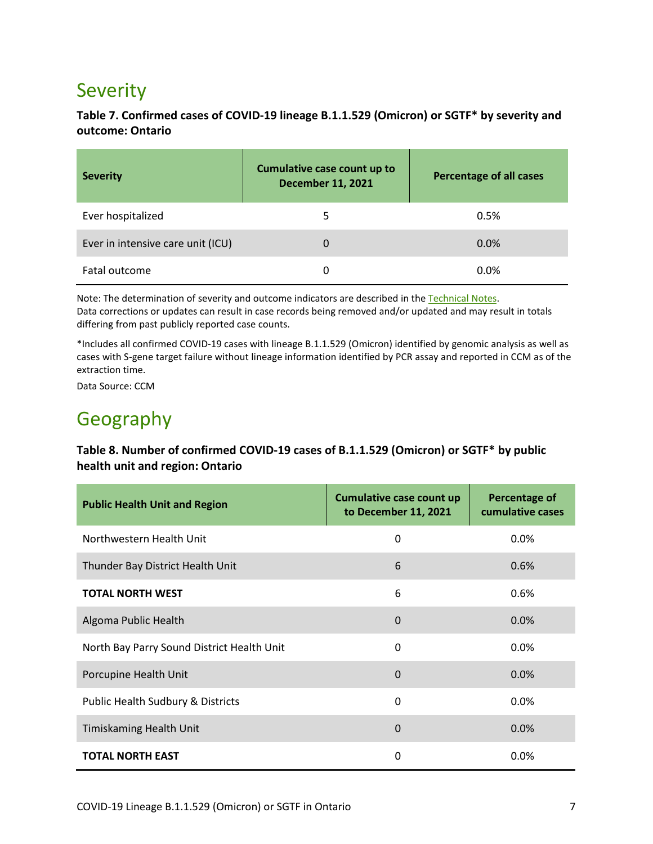## Severity

### **Table 7. Confirmed cases of COVID-19 lineage B.1.1.529 (Omicron) or SGTF\* by severity and outcome: Ontario**

| <b>Severity</b>                   | Cumulative case count up to<br><b>December 11, 2021</b> | <b>Percentage of all cases</b> |
|-----------------------------------|---------------------------------------------------------|--------------------------------|
| Ever hospitalized                 | 5                                                       | 0.5%                           |
| Ever in intensive care unit (ICU) | 0                                                       | $0.0\%$                        |
| Fatal outcome                     | 0                                                       | 0.0%                           |

Note: The determination of severity and outcome indicators are described in th[e Technical Notes.](#page-13-0) Data corrections or updates can result in case records being removed and/or updated and may result in totals differing from past publicly reported case counts.

\*Includes all confirmed COVID-19 cases with lineage B.1.1.529 (Omicron) identified by genomic analysis as well as cases with S-gene target failure without lineage information identified by PCR assay and reported in CCM as of the extraction time.

Data Source: CCM

## Geography

#### **Table 8. Number of confirmed COVID-19 cases of B.1.1.529 (Omicron) or SGTF\* by public health unit and region: Ontario**

| <b>Public Health Unit and Region</b>       | <b>Cumulative case count up</b><br>to December 11, 2021 | <b>Percentage of</b><br>cumulative cases |
|--------------------------------------------|---------------------------------------------------------|------------------------------------------|
| Northwestern Health Unit                   | 0                                                       | 0.0%                                     |
| Thunder Bay District Health Unit           | 6                                                       | 0.6%                                     |
| <b>TOTAL NORTH WEST</b>                    | 6                                                       | 0.6%                                     |
| Algoma Public Health                       | $\Omega$                                                | 0.0%                                     |
| North Bay Parry Sound District Health Unit | $\Omega$                                                | 0.0%                                     |
| Porcupine Health Unit                      | 0                                                       | 0.0%                                     |
| Public Health Sudbury & Districts          | 0                                                       | 0.0%                                     |
| <b>Timiskaming Health Unit</b>             | $\Omega$                                                | 0.0%                                     |
| <b>TOTAL NORTH EAST</b>                    | $\Omega$                                                | 0.0%                                     |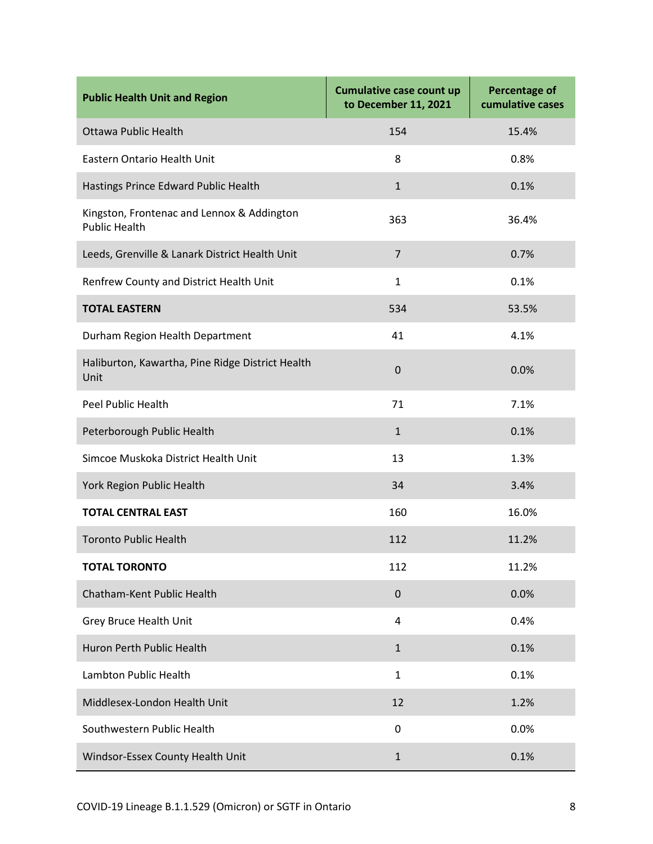| <b>Public Health Unit and Region</b>                               | <b>Cumulative case count up</b><br>to December 11, 2021 | <b>Percentage of</b><br>cumulative cases |
|--------------------------------------------------------------------|---------------------------------------------------------|------------------------------------------|
| <b>Ottawa Public Health</b>                                        | 154                                                     | 15.4%                                    |
| Eastern Ontario Health Unit                                        | 8                                                       | 0.8%                                     |
| Hastings Prince Edward Public Health                               | $\mathbf{1}$                                            | 0.1%                                     |
| Kingston, Frontenac and Lennox & Addington<br><b>Public Health</b> | 363                                                     | 36.4%                                    |
| Leeds, Grenville & Lanark District Health Unit                     | $\overline{7}$                                          | 0.7%                                     |
| Renfrew County and District Health Unit                            | $\mathbf{1}$                                            | 0.1%                                     |
| <b>TOTAL EASTERN</b>                                               | 534                                                     | 53.5%                                    |
| Durham Region Health Department                                    | 41                                                      | 4.1%                                     |
| Haliburton, Kawartha, Pine Ridge District Health<br>Unit           | $\boldsymbol{0}$                                        | 0.0%                                     |
| Peel Public Health                                                 | 71                                                      | 7.1%                                     |
| Peterborough Public Health                                         | $\mathbf{1}$                                            | 0.1%                                     |
| Simcoe Muskoka District Health Unit                                | 13                                                      | 1.3%                                     |
| York Region Public Health                                          | 34                                                      | 3.4%                                     |
| <b>TOTAL CENTRAL EAST</b>                                          | 160                                                     | 16.0%                                    |
| <b>Toronto Public Health</b>                                       | 112                                                     | 11.2%                                    |
| <b>TOTAL TORONTO</b>                                               | 112                                                     | 11.2%                                    |
| Chatham-Kent Public Health                                         | $\pmb{0}$                                               | 0.0%                                     |
| Grey Bruce Health Unit                                             | 4                                                       | 0.4%                                     |
| Huron Perth Public Health                                          | $\mathbf{1}$                                            | 0.1%                                     |
| Lambton Public Health                                              | $\mathbf{1}$                                            | 0.1%                                     |
| Middlesex-London Health Unit                                       | 12                                                      | 1.2%                                     |
| Southwestern Public Health                                         | 0                                                       | 0.0%                                     |
| Windsor-Essex County Health Unit                                   | $\mathbf{1}$                                            | 0.1%                                     |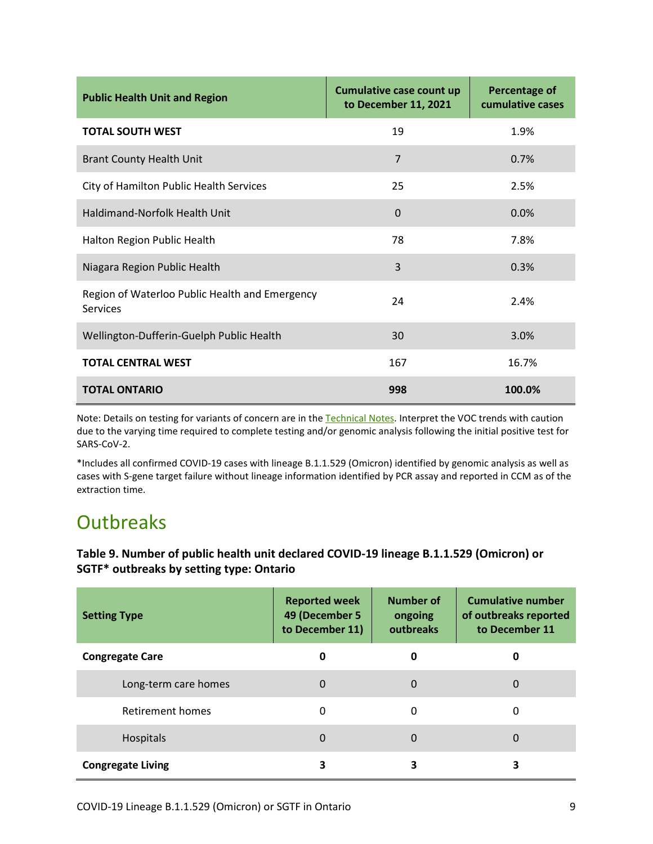| <b>Public Health Unit and Region</b>                              | <b>Cumulative case count up</b><br>to December 11, 2021 | <b>Percentage of</b><br>cumulative cases |
|-------------------------------------------------------------------|---------------------------------------------------------|------------------------------------------|
| <b>TOTAL SOUTH WEST</b>                                           | 19                                                      | 1.9%                                     |
| <b>Brant County Health Unit</b>                                   | $\overline{7}$                                          | 0.7%                                     |
| City of Hamilton Public Health Services                           | 25                                                      | 2.5%                                     |
| Haldimand-Norfolk Health Unit                                     | $\Omega$                                                | 0.0%                                     |
| Halton Region Public Health                                       | 78                                                      | 7.8%                                     |
| Niagara Region Public Health                                      | 3                                                       | 0.3%                                     |
| Region of Waterloo Public Health and Emergency<br><b>Services</b> | 24                                                      | 2.4%                                     |
| Wellington-Dufferin-Guelph Public Health                          | 30                                                      | 3.0%                                     |
| <b>TOTAL CENTRAL WEST</b>                                         | 167                                                     | 16.7%                                    |
| <b>TOTAL ONTARIO</b>                                              | 998                                                     | 100.0%                                   |

Note: Details on testing for variants of concern are in th[e Technical Notes.](#page-13-0) Interpret the VOC trends with caution due to the varying time required to complete testing and/or genomic analysis following the initial positive test for SARS-CoV-2.

\*Includes all confirmed COVID-19 cases with lineage B.1.1.529 (Omicron) identified by genomic analysis as well as cases with S-gene target failure without lineage information identified by PCR assay and reported in CCM as of the extraction time.

## **Outbreaks**

**Table 9. Number of public health unit declared COVID-19 lineage B.1.1.529 (Omicron) or SGTF\* outbreaks by setting type: Ontario**

| <b>Setting Type</b>      | <b>Reported week</b><br>49 (December 5<br>to December 11) | Number of<br>ongoing<br>outbreaks | <b>Cumulative number</b><br>of outbreaks reported<br>to December 11 |
|--------------------------|-----------------------------------------------------------|-----------------------------------|---------------------------------------------------------------------|
| <b>Congregate Care</b>   | 0                                                         | 0                                 | O                                                                   |
| Long-term care homes     | $\Omega$                                                  | 0                                 | 0                                                                   |
| Retirement homes         | 0                                                         | 0                                 | 0                                                                   |
| Hospitals                | $\Omega$                                                  | 0                                 | 0                                                                   |
| <b>Congregate Living</b> | 3                                                         | 3                                 | 3                                                                   |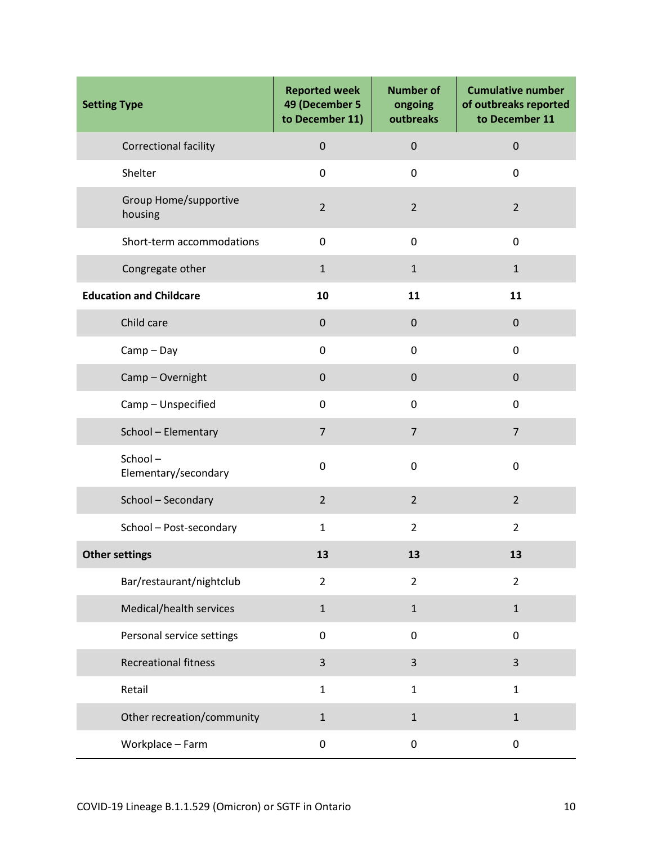| <b>Setting Type</b>              | <b>Reported week</b><br>49 (December 5<br>to December 11) | <b>Number of</b><br>ongoing<br>outbreaks | <b>Cumulative number</b><br>of outbreaks reported<br>to December 11 |
|----------------------------------|-----------------------------------------------------------|------------------------------------------|---------------------------------------------------------------------|
| Correctional facility            | $\pmb{0}$                                                 | $\pmb{0}$                                | $\pmb{0}$                                                           |
| Shelter                          | $\mathbf 0$                                               | 0                                        | 0                                                                   |
| Group Home/supportive<br>housing | $\overline{2}$                                            | $\overline{2}$                           | $\overline{2}$                                                      |
| Short-term accommodations        | 0                                                         | 0                                        | $\mathbf 0$                                                         |
| Congregate other                 | $\mathbf{1}$                                              | $\mathbf{1}$                             | $\mathbf{1}$                                                        |
| <b>Education and Childcare</b>   | 10                                                        | 11                                       | 11                                                                  |
| Child care                       | $\mathbf 0$                                               | $\mathbf 0$                              | $\mathbf 0$                                                         |
| $Camp - Day$                     | 0                                                         | 0                                        | 0                                                                   |
| Camp-Overnight                   | $\mathbf 0$                                               | $\mathbf 0$                              | $\mathbf 0$                                                         |
| Camp - Unspecified               | $\mathbf 0$                                               | 0                                        | 0                                                                   |
| School - Elementary              | $\overline{7}$                                            | $\overline{7}$                           | $\overline{7}$                                                      |
| School-<br>Elementary/secondary  | 0                                                         | 0                                        | 0                                                                   |
| School - Secondary               | $\overline{2}$                                            | $\overline{2}$                           | $\overline{2}$                                                      |
| School - Post-secondary          | $\mathbf{1}$                                              | $\overline{2}$                           | $\overline{2}$                                                      |
| <b>Other settings</b>            | 13                                                        | 13                                       | 13                                                                  |
| Bar/restaurant/nightclub         | $\overline{2}$                                            | $\overline{2}$                           | $\overline{2}$                                                      |
| Medical/health services          | $\mathbf{1}$                                              | $\mathbf{1}$                             | $\mathbf{1}$                                                        |
| Personal service settings        | $\pmb{0}$                                                 | 0                                        | 0                                                                   |
| <b>Recreational fitness</b>      | $\overline{3}$                                            | 3                                        | 3                                                                   |
| Retail                           | $\mathbf{1}$                                              | $\mathbf{1}$                             | $\mathbf{1}$                                                        |
| Other recreation/community       | $\mathbf{1}$                                              | $\mathbf{1}$                             | $\mathbf 1$                                                         |
| Workplace - Farm                 | 0                                                         | $\pmb{0}$                                | 0                                                                   |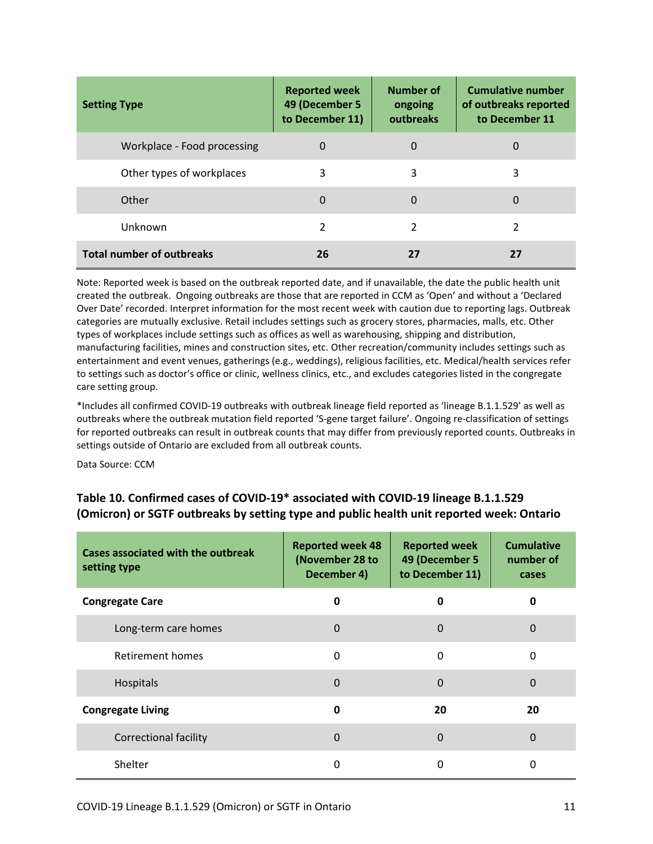| <b>Setting Type</b>              | <b>Reported week</b><br>49 (December 5<br>to December 11) | Number of<br>ongoing<br>outbreaks | <b>Cumulative number</b><br>of outbreaks reported<br>to December 11 |
|----------------------------------|-----------------------------------------------------------|-----------------------------------|---------------------------------------------------------------------|
| Workplace - Food processing      | 0                                                         | 0                                 | 0                                                                   |
| Other types of workplaces        | 3                                                         | 3                                 | 3                                                                   |
| Other                            | $\Omega$                                                  | 0                                 | 0                                                                   |
| Unknown                          | $\mathcal{P}$                                             | 2                                 | 2                                                                   |
| <b>Total number of outbreaks</b> | 26                                                        | 27                                | 27                                                                  |

Note: Reported week is based on the outbreak reported date, and if unavailable, the date the public health unit created the outbreak. Ongoing outbreaks are those that are reported in CCM as 'Open' and without a 'Declared Over Date' recorded. Interpret information for the most recent week with caution due to reporting lags. Outbreak categories are mutually exclusive. Retail includes settings such as grocery stores, pharmacies, malls, etc. Other types of workplaces include settings such as offices as well as warehousing, shipping and distribution, manufacturing facilities, mines and construction sites, etc. Other recreation/community includes settings such as entertainment and event venues, gatherings (e.g., weddings), religious facilities, etc. Medical/health services refer to settings such as doctor's office or clinic, wellness clinics, etc., and excludes categories listed in the congregate care setting group.

\*Includes all confirmed COVID-19 outbreaks with outbreak lineage field reported as 'lineage B.1.1.529' as well as outbreaks where the outbreak mutation field reported 'S-gene target failure'. Ongoing re-classification of settings for reported outbreaks can result in outbreak counts that may differ from previously reported counts. Outbreaks in settings outside of Ontario are excluded from all outbreak counts.

Data Source: CCM

### **Table 10. Confirmed cases of COVID-19\* associated with COVID-19 lineage B.1.1.529 (Omicron) or SGTF outbreaks by setting type and public health unit reported week: Ontario**

| Cases associated with the outbreak<br>setting type | <b>Reported week 48</b><br>(November 28 to<br>December 4) | <b>Reported week</b><br>49 (December 5<br>to December 11) | <b>Cumulative</b><br>number of<br>cases |
|----------------------------------------------------|-----------------------------------------------------------|-----------------------------------------------------------|-----------------------------------------|
| <b>Congregate Care</b>                             | <sup>0</sup>                                              | 0                                                         | 0                                       |
| Long-term care homes                               | $\Omega$                                                  | $\Omega$                                                  | 0                                       |
| Retirement homes                                   | 0                                                         | $\Omega$                                                  | $\mathbf 0$                             |
| Hospitals                                          | $\Omega$                                                  | $\mathbf 0$                                               | 0                                       |
| <b>Congregate Living</b>                           | 0                                                         | 20                                                        | 20                                      |
| <b>Correctional facility</b>                       | $\Omega$                                                  | $\Omega$                                                  | 0                                       |
| Shelter                                            | 0                                                         | 0                                                         | 0                                       |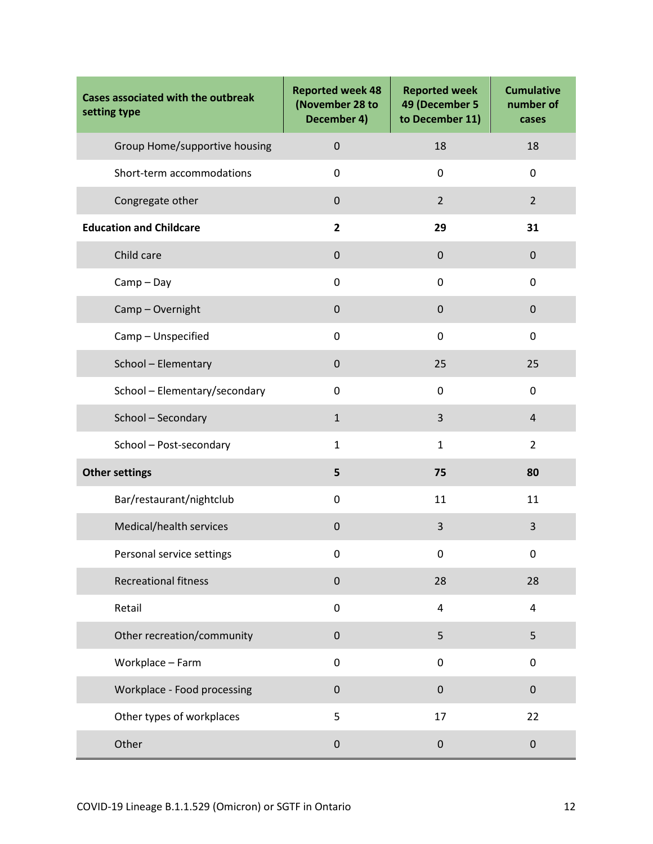| <b>Cases associated with the outbreak</b><br>setting type | <b>Reported week 48</b><br>(November 28 to<br>December 4) | <b>Reported week</b><br>49 (December 5<br>to December 11) | <b>Cumulative</b><br>number of<br>cases |
|-----------------------------------------------------------|-----------------------------------------------------------|-----------------------------------------------------------|-----------------------------------------|
| Group Home/supportive housing                             | $\pmb{0}$                                                 | 18                                                        | 18                                      |
| Short-term accommodations                                 | 0                                                         | $\mathbf 0$                                               | 0                                       |
| Congregate other                                          | $\pmb{0}$                                                 | $\overline{2}$                                            | $\overline{2}$                          |
| <b>Education and Childcare</b>                            | $\overline{2}$                                            | 29                                                        | 31                                      |
| Child care                                                | $\pmb{0}$                                                 | $\mathbf 0$                                               | $\pmb{0}$                               |
| $Camp - Day$                                              | $\mathbf 0$                                               | $\mathbf 0$                                               | 0                                       |
| Camp-Overnight                                            | $\mathbf 0$                                               | $\mathbf 0$                                               | 0                                       |
| Camp - Unspecified                                        | $\mathbf 0$                                               | $\mathbf 0$                                               | 0                                       |
| School - Elementary                                       | $\pmb{0}$                                                 | 25                                                        | 25                                      |
| School - Elementary/secondary                             | 0                                                         | $\mathbf 0$                                               | 0                                       |
| School - Secondary                                        | $\mathbf{1}$                                              | 3                                                         | $\overline{4}$                          |
| School - Post-secondary                                   | $\mathbf{1}$                                              | $\mathbf{1}$                                              | $\overline{2}$                          |
| <b>Other settings</b>                                     | 5                                                         | 75                                                        | 80                                      |
| Bar/restaurant/nightclub                                  | $\mathbf 0$                                               | 11                                                        | 11                                      |
| Medical/health services                                   | $\mathbf 0$                                               | 3                                                         | 3                                       |
| Personal service settings                                 | 0                                                         | 0                                                         | 0                                       |
| <b>Recreational fitness</b>                               | $\pmb{0}$                                                 | 28                                                        | 28                                      |
| Retail                                                    | $\mathbf 0$                                               | $\overline{4}$                                            | 4                                       |
| Other recreation/community                                | $\pmb{0}$                                                 | 5                                                         | 5                                       |
| Workplace - Farm                                          | $\mathbf 0$                                               | $\mathbf 0$                                               | 0                                       |
| Workplace - Food processing                               | $\pmb{0}$                                                 | $\mathbf 0$                                               | 0                                       |
| Other types of workplaces                                 | 5                                                         | 17                                                        | 22                                      |
| Other                                                     | $\pmb{0}$                                                 | $\boldsymbol{0}$                                          | $\pmb{0}$                               |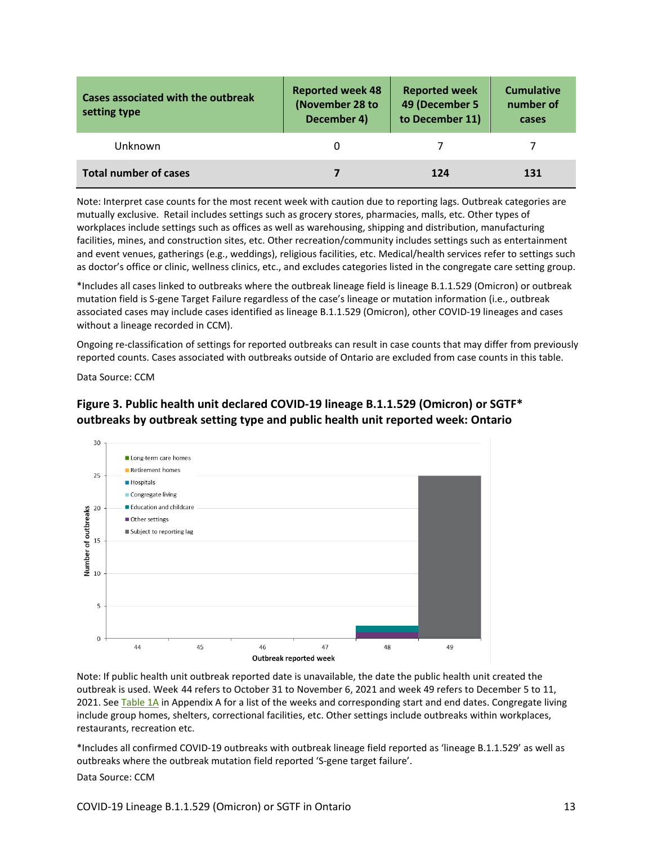| Cases associated with the outbreak<br>setting type | <b>Reported week 48</b><br>(November 28 to<br>December 4) | <b>Reported week</b><br>49 (December 5<br>to December 11) | <b>Cumulative</b><br>number of<br>cases |
|----------------------------------------------------|-----------------------------------------------------------|-----------------------------------------------------------|-----------------------------------------|
| Unknown                                            |                                                           |                                                           |                                         |
| <b>Total number of cases</b>                       |                                                           | 124                                                       | 131                                     |

Note: Interpret case counts for the most recent week with caution due to reporting lags. Outbreak categories are mutually exclusive. Retail includes settings such as grocery stores, pharmacies, malls, etc. Other types of workplaces include settings such as offices as well as warehousing, shipping and distribution, manufacturing facilities, mines, and construction sites, etc. Other recreation/community includes settings such as entertainment and event venues, gatherings (e.g., weddings), religious facilities, etc. Medical/health services refer to settings such as doctor's office or clinic, wellness clinics, etc., and excludes categories listed in the congregate care setting group.

\*Includes all cases linked to outbreaks where the outbreak lineage field is lineage B.1.1.529 (Omicron) or outbreak mutation field is S-gene Target Failure regardless of the case's lineage or mutation information (i.e., outbreak associated cases may include cases identified as lineage B.1.1.529 (Omicron), other COVID-19 lineages and cases without a lineage recorded in CCM).

Ongoing re-classification of settings for reported outbreaks can result in case counts that may differ from previously reported counts. Cases associated with outbreaks outside of Ontario are excluded from case counts in this table.

Data Source: CCM





Note: If public health unit outbreak reported date is unavailable, the date the public health unit created the outbreak is used. Week-44 refers to October 31 to November 6, 2021 and week 49 refers to December 5 to 11, 2021. See [Table 1A](#page-17-0) in Appendix A for a list of the weeks and corresponding start and end dates. Congregate living include group homes, shelters, correctional facilities, etc. Other settings include outbreaks within workplaces, restaurants, recreation etc.

\*Includes all confirmed COVID-19 outbreaks with outbreak lineage field reported as 'lineage B.1.1.529' as well as outbreaks where the outbreak mutation field reported 'S-gene target failure'.

Data Source: CCM

COVID-19 Lineage B.1.1.529 (Omicron) or SGTF in Ontario 13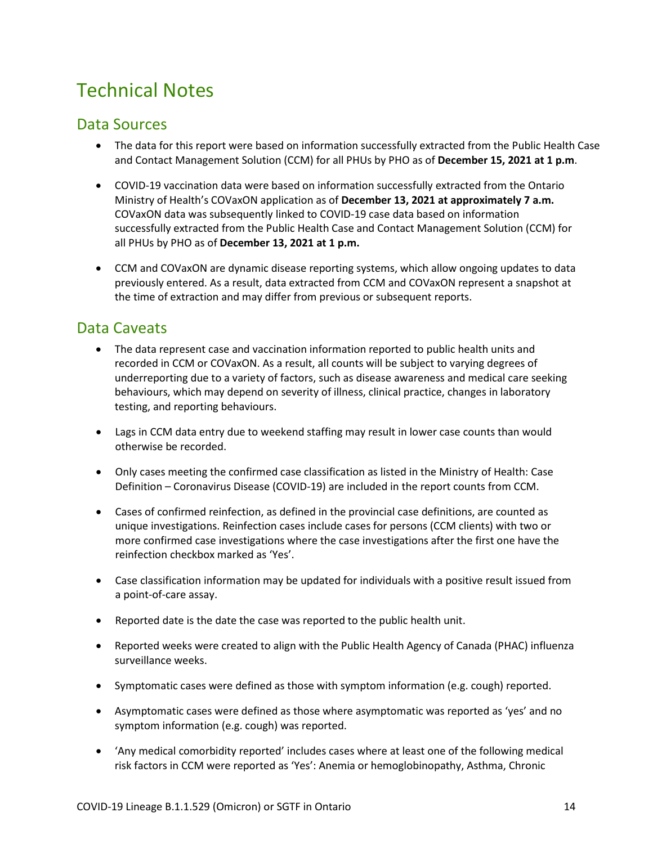## <span id="page-13-0"></span>Technical Notes

### Data Sources

- The data for this report were based on information successfully extracted from the Public Health Case and Contact Management Solution (CCM) for all PHUs by PHO as of **December 15, 2021 at 1 p.m**.
- COVID-19 vaccination data were based on information successfully extracted from the Ontario Ministry of Health's COVaxON application as of **December 13, 2021 at approximately 7 a.m.** COVaxON data was subsequently linked to COVID-19 case data based on information successfully extracted from the Public Health Case and Contact Management Solution (CCM) for all PHUs by PHO as of **December 13, 2021 at 1 p.m.**
- CCM and COVaxON are dynamic disease reporting systems, which allow ongoing updates to data previously entered. As a result, data extracted from CCM and COVaxON represent a snapshot at the time of extraction and may differ from previous or subsequent reports.

### Data Caveats

- The data represent case and vaccination information reported to public health units and recorded in CCM or COVaxON. As a result, all counts will be subject to varying degrees of underreporting due to a variety of factors, such as disease awareness and medical care seeking behaviours, which may depend on severity of illness, clinical practice, changes in laboratory testing, and reporting behaviours.
- Lags in CCM data entry due to weekend staffing may result in lower case counts than would otherwise be recorded.
- Only cases meeting the confirmed case classification as listed in th[e Ministry of Health: Case](http://www.health.gov.on.ca/en/pro/programs/publichealth/coronavirus/docs/2019_case_definition.pdf)  [Definition – Coronavirus Disease \(COVID-19\)](http://www.health.gov.on.ca/en/pro/programs/publichealth/coronavirus/docs/2019_case_definition.pdf) are included in the report counts from CCM.
- Cases of confirmed reinfection, as defined in the provincial case definitions, are counted as unique investigations. Reinfection cases include cases for persons (CCM clients) with two or more confirmed case investigations where the case investigations after the first one have the reinfection checkbox marked as 'Yes'.
- Case classification information may be updated for individuals with a positive result issued from a point-of-care assay.
- Reported date is the date the case was reported to the public health unit.
- Reported weeks were created to align with the Public Health Agency of Canada (PHAC) influenza surveillance weeks.
- Symptomatic cases were defined as those with symptom information (e.g. cough) reported.
- Asymptomatic cases were defined as those where asymptomatic was reported as 'yes' and no symptom information (e.g. cough) was reported.
- 'Any medical comorbidity reported' includes cases where at least one of the following medical risk factors in CCM were reported as 'Yes': Anemia or hemoglobinopathy, Asthma, Chronic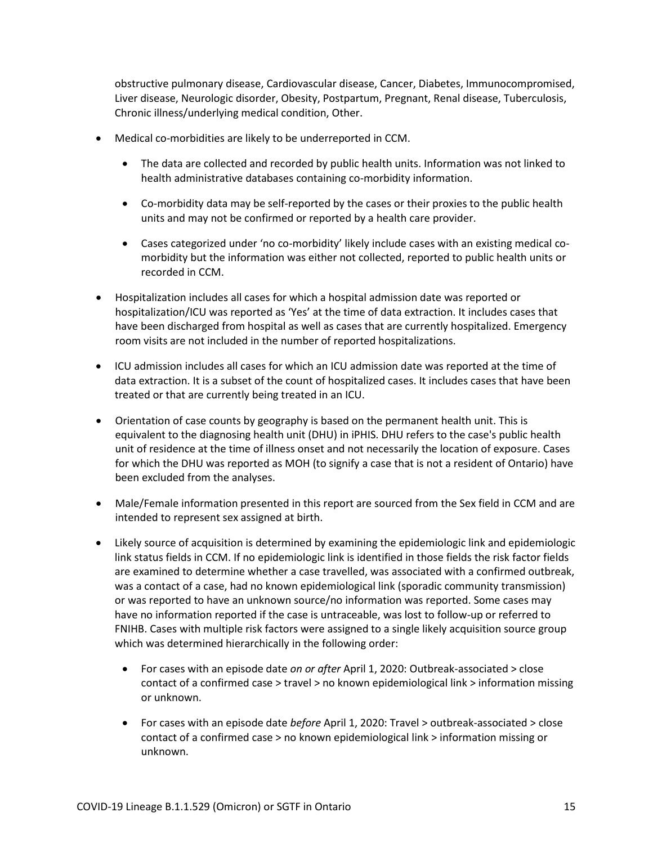obstructive pulmonary disease, Cardiovascular disease, Cancer, Diabetes, Immunocompromised, Liver disease, Neurologic disorder, Obesity, Postpartum, Pregnant, Renal disease, Tuberculosis, Chronic illness/underlying medical condition, Other.

- Medical co-morbidities are likely to be underreported in CCM.
	- The data are collected and recorded by public health units. Information was not linked to health administrative databases containing co-morbidity information.
	- Co-morbidity data may be self-reported by the cases or their proxies to the public health units and may not be confirmed or reported by a health care provider.
	- Cases categorized under 'no co-morbidity' likely include cases with an existing medical comorbidity but the information was either not collected, reported to public health units or recorded in CCM.
- Hospitalization includes all cases for which a hospital admission date was reported or hospitalization/ICU was reported as 'Yes' at the time of data extraction. It includes cases that have been discharged from hospital as well as cases that are currently hospitalized. Emergency room visits are not included in the number of reported hospitalizations.
- ICU admission includes all cases for which an ICU admission date was reported at the time of data extraction. It is a subset of the count of hospitalized cases. It includes cases that have been treated or that are currently being treated in an ICU.
- Orientation of case counts by geography is based on the permanent health unit. This is equivalent to the diagnosing health unit (DHU) in iPHIS. DHU refers to the case's public health unit of residence at the time of illness onset and not necessarily the location of exposure. Cases for which the DHU was reported as MOH (to signify a case that is not a resident of Ontario) have been excluded from the analyses.
- Male/Female information presented in this report are sourced from the Sex field in CCM and are intended to represent sex assigned at birth.
- Likely source of acquisition is determined by examining the epidemiologic link and epidemiologic link status fields in CCM. If no epidemiologic link is identified in those fields the risk factor fields are examined to determine whether a case travelled, was associated with a confirmed outbreak, was a contact of a case, had no known epidemiological link (sporadic community transmission) or was reported to have an unknown source/no information was reported. Some cases may have no information reported if the case is untraceable, was lost to follow-up or referred to FNIHB. Cases with multiple risk factors were assigned to a single likely acquisition source group which was determined hierarchically in the following order:
	- For cases with an episode date *on or after* April 1, 2020: Outbreak-associated > close contact of a confirmed case > travel > no known epidemiological link > information missing or unknown.
	- For cases with an episode date *before* April 1, 2020: Travel > outbreak-associated > close contact of a confirmed case > no known epidemiological link > information missing or unknown.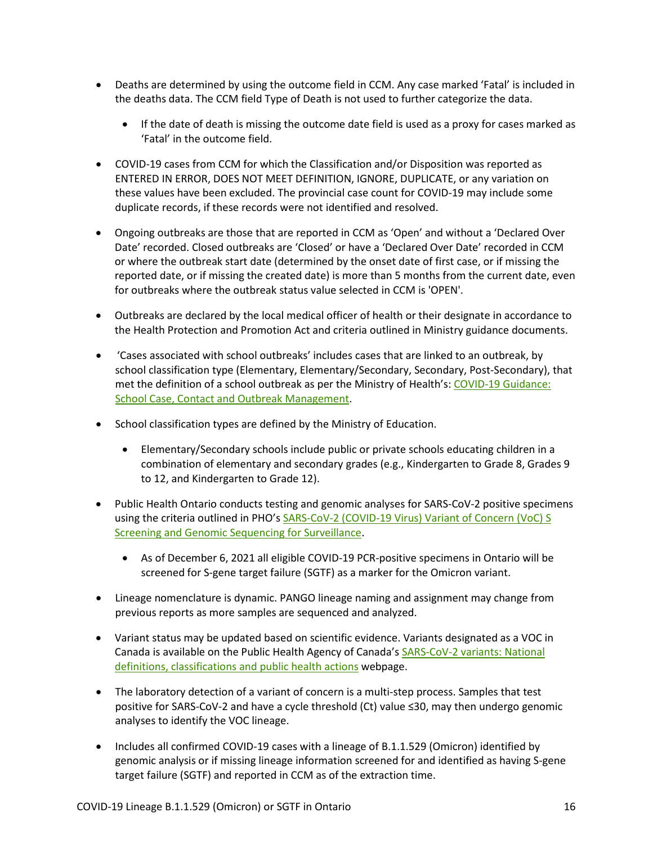- Deaths are determined by using the outcome field in CCM. Any case marked 'Fatal' is included in the deaths data. The CCM field Type of Death is not used to further categorize the data.
	- If the date of death is missing the outcome date field is used as a proxy for cases marked as 'Fatal' in the outcome field.
- COVID-19 cases from CCM for which the Classification and/or Disposition was reported as ENTERED IN ERROR, DOES NOT MEET DEFINITION, IGNORE, DUPLICATE, or any variation on these values have been excluded. The provincial case count for COVID-19 may include some duplicate records, if these records were not identified and resolved.
- Ongoing outbreaks are those that are reported in CCM as 'Open' and without a 'Declared Over Date' recorded. Closed outbreaks are 'Closed' or have a 'Declared Over Date' recorded in CCM or where the outbreak start date (determined by the onset date of first case, or if missing the reported date, or if missing the created date) is more than 5 months from the current date, even for outbreaks where the outbreak status value selected in CCM is 'OPEN'.
- Outbreaks are declared by the local medical officer of health or their designate in accordance to the Health Protection and Promotion Act and criteria outlined in Ministry guidance documents.
- 'Cases associated with school outbreaks' includes cases that are linked to an outbreak, by school classification type (Elementary, Elementary/Secondary, Secondary, Post-Secondary), that met the definition of a school outbreak as per the Ministry of Health's[: COVID-19 Guidance:](http://www.health.gov.on.ca/en/pro/programs/publichealth/coronavirus/docs/COVID-19_school_outbreak_guidance.pdf)  School Case, [Contact and Outbreak Management.](http://www.health.gov.on.ca/en/pro/programs/publichealth/coronavirus/docs/COVID-19_school_outbreak_guidance.pdf)
- School classification types are defined by the Ministry of Education.
	- Elementary/Secondary schools include public or private schools educating children in a combination of elementary and secondary grades (e.g., Kindergarten to Grade 8, Grades 9 to 12, and Kindergarten to Grade 12).
- Public Health Ontario conducts testing and genomic analyses for SARS-CoV-2 positive specimens using the criteria outlined in PHO's SARS-CoV-2 (COVID-19 Virus) Variant of Concern (VoC) S [Screening and Genomic Sequencing for Surveillance.](https://www.publichealthontario.ca/en/laboratory-services/test-information-index/covid-19-voc)
	- As of December 6, 2021 all eligible COVID-19 PCR-positive specimens in Ontario will be screened for S-gene target failure (SGTF) as a marker for the Omicron variant.
- Lineage nomenclature is dynamic. PANGO lineage naming and assignment may change from previous reports as more samples are sequenced and analyzed.
- Variant status may be updated based on scientific evidence. Variants designated as a VOC in Canada is available on the Public Health Agency of Canada's [SARS-CoV-2 variants: National](https://www.canada.ca/en/public-health/services/diseases/2019-novel-coronavirus-infection/health-professionals/testing-diagnosing-case-reporting/sars-cov-2-variants-national-definitions-classifications-public-health-actions.html)  [definitions, classifications and public health actions](https://www.canada.ca/en/public-health/services/diseases/2019-novel-coronavirus-infection/health-professionals/testing-diagnosing-case-reporting/sars-cov-2-variants-national-definitions-classifications-public-health-actions.html) webpage.
- The laboratory detection of a variant of concern is a multi-step process. Samples that test positive for SARS-CoV-2 and have a cycle threshold (Ct) value ≤30, may then undergo genomic analyses to identify the VOC lineage.
- Includes all confirmed COVID-19 cases with a lineage of B.1.1.529 (Omicron) identified by genomic analysis or if missing lineage information screened for and identified as having S-gene target failure (SGTF) and reported in CCM as of the extraction time.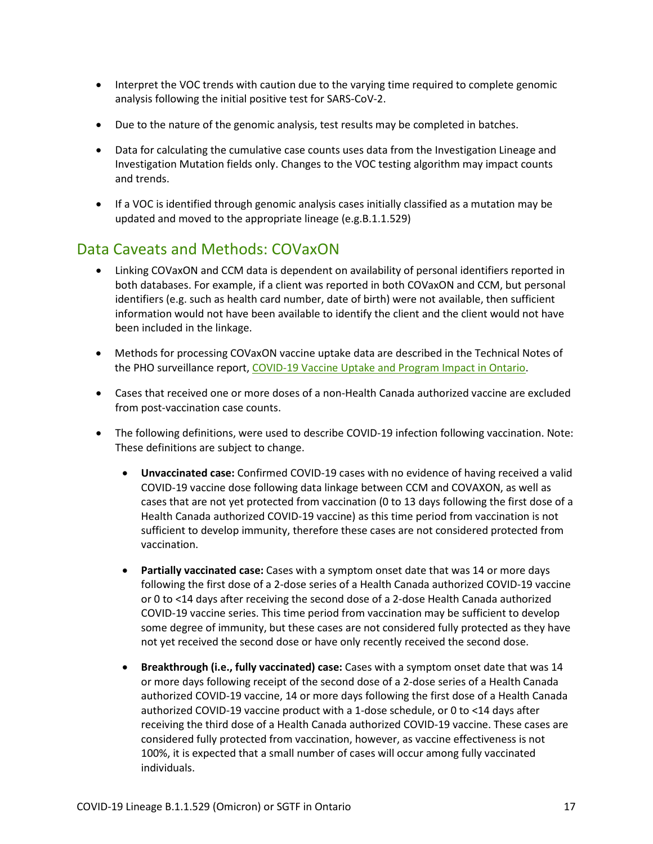- Interpret the VOC trends with caution due to the varying time required to complete genomic analysis following the initial positive test for SARS-CoV-2.
- Due to the nature of the genomic analysis, test results may be completed in batches.
- Data for calculating the cumulative case counts uses data from the Investigation Lineage and Investigation Mutation fields only. Changes to the VOC testing algorithm may impact counts and trends.
- If a VOC is identified through genomic analysis cases initially classified as a mutation may be updated and moved to the appropriate lineage (e.g.B.1.1.529)

### Data Caveats and Methods: COVaxON

- Linking COVaxON and CCM data is dependent on availability of personal identifiers reported in both databases. For example, if a client was reported in both COVaxON and CCM, but personal identifiers (e.g. such as health card number, date of birth) were not available, then sufficient information would not have been available to identify the client and the client would not have been included in the linkage.
- Methods for processing COVaxON vaccine uptake data are described in the Technical Notes of the PHO surveillance report[, COVID-19 Vaccine Uptake and Program Impact in Ontario.](https://www.publichealthontario.ca/-/media/documents/ncov/epi/covid-19-vaccine-uptake-ontario-epi-summary.pdf?la=en)
- Cases that received one or more doses of a non-Health Canada authorized vaccine are excluded from post-vaccination case counts.
- The following definitions, were used to describe COVID-19 infection following vaccination. Note: These definitions are subject to change.
	- **Unvaccinated case:** Confirmed COVID-19 cases with no evidence of having received a valid COVID-19 vaccine dose following data linkage between CCM and COVAXON, as well as cases that are not yet protected from vaccination (0 to 13 days following the first dose of a Health Canada authorized COVID-19 vaccine) as this time period from vaccination is not sufficient to develop immunity, therefore these cases are not considered protected from vaccination.
	- **Partially vaccinated case:** Cases with a symptom onset date that was 14 or more days following the first dose of a 2-dose series of a Health Canada authorized COVID-19 vaccine or 0 to <14 days after receiving the second dose of a 2-dose Health Canada authorized COVID-19 vaccine series. This time period from vaccination may be sufficient to develop some degree of immunity, but these cases are not considered fully protected as they have not yet received the second dose or have only recently received the second dose.
	- **Breakthrough (i.e., fully vaccinated) case:** Cases with a symptom onset date that was 14 or more days following receipt of the second dose of a 2-dose series of a Health Canada authorized COVID-19 vaccine, 14 or more days following the first dose of a Health Canada authorized COVID-19 vaccine product with a 1-dose schedule, or 0 to <14 days after receiving the third dose of a Health Canada authorized COVID-19 vaccine. These cases are considered fully protected from vaccination, however, as vaccine effectiveness is not 100%, it is expected that a small number of cases will occur among fully vaccinated individuals.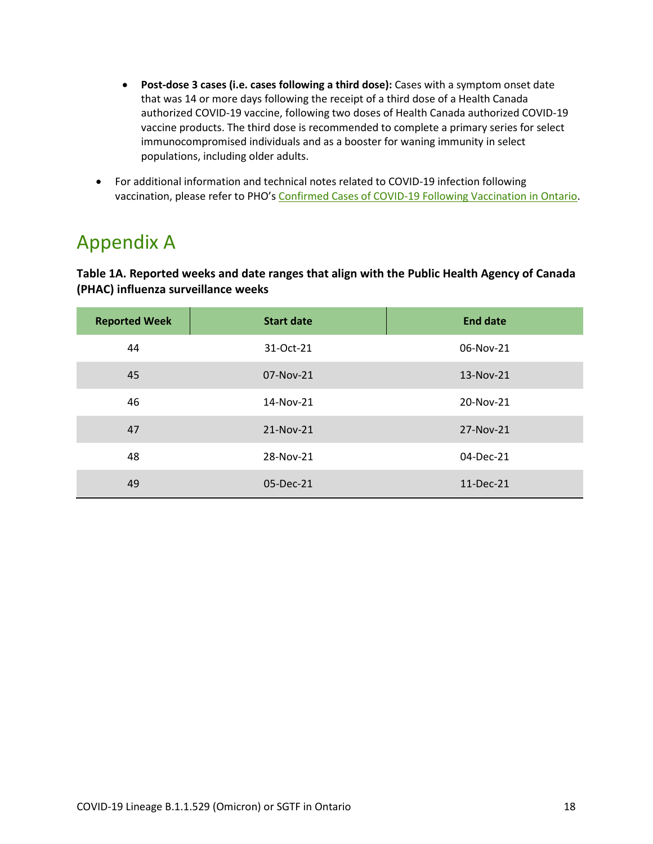- **Post-dose 3 cases (i.e. cases following a third dose):** Cases with a symptom onset date that was 14 or more days following the receipt of a third dose of a Health Canada authorized COVID-19 vaccine, following two doses of Health Canada authorized COVID-19 vaccine products. The third dose is recommended to complete a primary series for select immunocompromised individuals and as a booster for waning immunity in select populations, including older adults.
- For additional information and technical notes related to COVID-19 infection following vaccination, please refer to PHO's [Confirmed Cases of COVID-19 Following Vaccination in Ontario.](https://www.publichealthontario.ca/-/media/documents/ncov/epi/covid-19-epi-confirmed-cases-post-vaccination.pdf?sc_lang=en)

### Appendix A

<span id="page-17-0"></span>**Table 1A. Reported weeks and date ranges that align with the Public Health Agency of Canada (PHAC) influenza surveillance weeks**

| <b>Reported Week</b> | <b>Start date</b> | <b>End date</b> |
|----------------------|-------------------|-----------------|
| 44                   | 31-Oct-21         | 06-Nov-21       |
| 45                   | 07-Nov-21         | 13-Nov-21       |
| 46                   | 14-Nov-21         | 20-Nov-21       |
| 47                   | 21-Nov-21         | 27-Nov-21       |
| 48                   | 28-Nov-21         | 04-Dec-21       |
| 49                   | 05-Dec-21         | 11-Dec-21       |